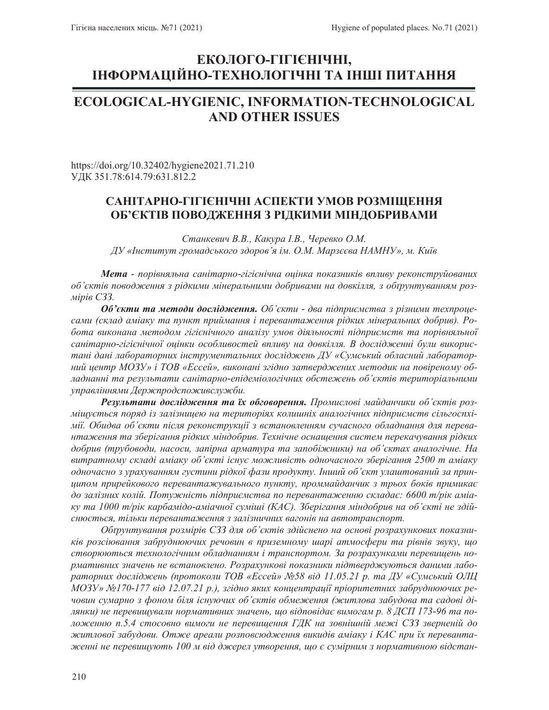# ЕКОЛОГО-ГІГІЄНІЧНІ, **ȱɇɎɈɊɆȺɐȱɃɇɈ-ɌȿɏɇɈɅɈȽȱɑɇȱɌȺ ȱɇɒȱɉɂɌȺɇɇə**

## **ECOLOGICAL-HYGIENIC, INFORMATION-TECHNOLOGICAL AND OTHER ISSUES**

https://doi.org/10.32402/hygiene2021.71.210 ɍȾɄ351.78:614.79:631.812.2

## САНІТАРНО-ГІГІЄНІЧНІ АСПЕКТИ УМОВ РОЗМІЩЕННЯ **ОБ'ЄКТІВ ПОВОДЖЕННЯ З РІДКИМИ МІНДОБРИВАМИ**

Станкевич В.В., Какура *I.В.*, Черевко О.М. *Ⱦɍ©ȱɧɫɬɢɬɭɬɝɪɨɦɚɞɫɶɤɨɝɨɡɞɨɪɨɜ¶ɹɿɦɈɆɆɚɪɡɽɽɜɚɇȺɆɇɍªɦɄɢʀɜ*

Мета - порівняльна санітарно-гігієнічна оцінка показників впливу реконструйованих *об'єктів поводження з рідкими мінеральними добривами на довкілля, з обтрунтуванням роз-Mipie C33.* 

**Об'єкти та методи дослідження.** Об'єкти - два підприємства з різними техпроцесами (склад аміаку та пункт приймання і перевантаження рідких мінеральних добрив). Робота виконана методом гігієнічного аналізу умов діяльності підприємств та порівняльної санітарно-гігієнічної оцінки особливостей впливу на довкілля. В дослідженні були використані дані лабораторних інструментальних досліджень ДУ «Сумський обласний лабораторний центр *МОЗУ» і ТОВ «Ессей», виконані згідно затверджених методик на повіреному об*ладнанні та результати санітарно-епідеміологічних обстежень об'єктів територіальними управліннями Держпродспоживслужби.

Результати дослідження та їх обговорення. Промислові майданчики об'єктів розміщується поряд із залізницею на територіях колишніх аналогічних підприємств сільгоспхімії. Обидва об'єкти після реконструкції з встановленням сучасного обладнання для перевантаження та зберігання рідких міндобрив. Технічне оснащення систем перекачування рідких добрив (трубоводи, насоси, запірна арматура та запобіжники) на об'єктах аналогічне. На витратному складі аміаку об'єкті існує можливість одночасного зберігання 2500 m аміаку *одночасно з урахуванням густини рідкої фази продукту. Інший об'єкт улаштований за прин*ципом прирейкового перевантажувального пункту, проммайданчик з трьох боків примикає до залізних колій. Потужність підприємства по перевантаженню складає: 6600 m/piк аміаky ma 1000 m/pik карбамідо-аміачної суміші (КАС). Зберігання міндобрив на об'єкті не здійснюється, тільки перевантаження з залізничних вагонів на автотранспорт.

Обтрунтування розмірів СЗЗ для об'єктів здійснено на основі розрахункових показників розсіювання забруднюючих речовин в приземному шарі атмосфери та рівнів звуку, що створюються технологічним обладнанням і транспортом. За розрахунками перевищень нормативних значень не встановлено. Розрахункові показники підтверджуються даними лабораторних досліджень (протоколи ТОВ «Ессей» №58 від 11.05.21 р. та ДУ «Сумський ОЛЦ *MO3У» №170-177 від 12.07.21 р.), згідно яких концентрації пріоритетних забруднюючих ре*човин сумарно з фоном біля існуючих об'єктів обмеження (житлова забудова та садові ділянки) не перевищували нормативних значень, що відповідає вимогам р. 8 ДСП 173-96 та положенню *n.5.4 стосовно вимоги не перевищення ГДК на зовнішній межі СЗЗ зверненій до* житлової забудови. Отже ареали розповсюдження викидів аміаку і КАС при їх переванта $x$ ѥенні не перевищують 100 м від джерел утворення, що є сумірним з нормативною відстан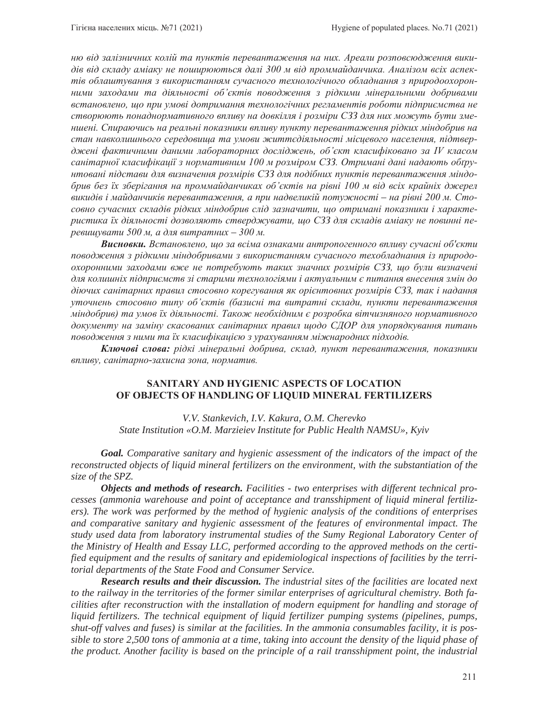ню від залізничних колій та пунктів перевантаження на них. Ареали розповсюдження викидів від складу аміаку не поширюються далі 300 м від проммайданчика. Аналізом всіх аспектів облаштування з використанням сучасного технологічного обладнання з природоохоронними заходами та діяльності об'єктів поводження з рідкими мінеральними добривами встановлено, що при умові дотримання технологічних регламентів роботи підприємства не створюють понаднормативного впливу на довкілля і розміри СЗЗ для них можуть бути зменшені. Спираючись на реальні показники впливу пункту перевантаження рідких міндобрив на стан навколишнього середовища та умови життєдіяльності місцевого населення, підтверджені фактичними даними лабораторних досліджень, об'єкт класифіковано за IV класом санiтарної класифiкації з нормативним 100 м розміром СЗЗ. Отримані дані надають обґру-<u>нтовані підстави для визначення розмірів СЗЗ для подібних пунктів перевантаження міндо-</u> брив без їх зберігання на проммайданчиках об'єктів на рівні 100 м від всіх крайніх джерел *ɜɢɤɢɞɿɜɿɦɚɣɞɚɧɱɢɤɿɜɩɟɪɟɜɚɧɬɚɠɟɧɧɹɚɩɪɢɧɚɞɜɟɥɢɤɿɣɩɨɬɭɠɧɨɫɬɿ– ɧɚɪɿɜɧɿɦɋɬɨ* совно сучасних складів рідких міндобрив слід зазначити, що отримані показники і характеристика їх діяльності дозволяють стверджувати, що СЗЗ для складів аміаку не повинні пе*peвищувати 500 м, а для витратних – 300 м.* 

Висновки. Встановлено, що за всіма ознаками антропогенного впливу сучасні об'єкти поводження з рідкими міндобривами з використанням сучасного техобладнання із природоохоронними заходами вже не потребують таких значних розмірів СЗЗ, що були визначені для колишнiх пiдприємств зi старими технологiями i актуальним є питання внесення змiн до діючих санітарних правил стосовно корегування як орієнтовних розмірів СЗЗ, так і надання уточнень стосовно типу об'єктів (базисні та витратні склади, пункти перевантаження міндобрив) та умов їх діяльності. Також необхідним є розробка вітчизняного нормативного документу на заміну скасованих санітарних правил щодо СДОР для упорядкування питань поводження з ними та їх класифікацією з урахуванням міжнародних підходів.

**Ключові слова:** рідкі мінеральні добрива, склад, пункт перевантаження, показники  $\theta$ *впливу*, санітарно-захисна зона, норматив.

### **SANITARY AND HYGIENIC ASPECTS OF LOCATION OF OBJECTS OF HANDLING OF LIQUID MINERAL FERTILIZERS**

*V.V. Stankevich, I.V. Kakura, O.M. Cherevko State Institution «O.M. Marzieiev Institute for Public Health NAMSU», Kyiv*

*Goal. Comparative sanitary and hygienic assessment of the indicators of the impact of the reconstructed objects of liquid mineral fertilizers on the environment, with the substantiation of the size of the SPZ.* 

*Objects and methods of research. Facilities - two enterprises with different technical processes (ammonia warehouse and point of acceptance and transshipment of liquid mineral fertilizers). The work was performed by the method of hygienic analysis of the conditions of enterprises and comparative sanitary and hygienic assessment of the features of environmental impact. The study used data from laboratory instrumental studies of the Sumy Regional Laboratory Center of the Ministry of Health and Essay LLC, performed according to the approved methods on the certified equipment and the results of sanitary and epidemiological inspections of facilities by the territorial departments of the State Food and Consumer Service.* 

*Research results and their discussion. The industrial sites of the facilities are located next to the railway in the territories of the former similar enterprises of agricultural chemistry. Both facilities after reconstruction with the installation of modern equipment for handling and storage of liquid fertilizers. The technical equipment of liquid fertilizer pumping systems (pipelines, pumps, shut-off valves and fuses) is similar at the facilities. In the ammonia consumables facility, it is possible to store 2,500 tons of ammonia at a time, taking into account the density of the liquid phase of the product. Another facility is based on the principle of a rail transshipment point, the industrial*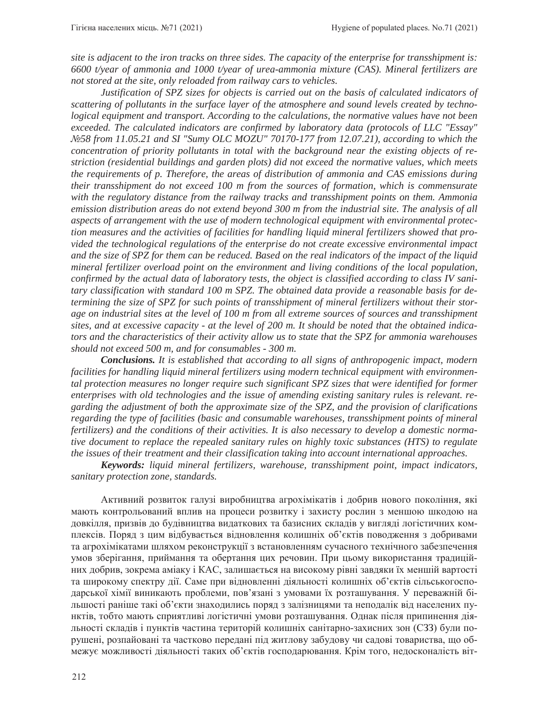*site is adjacent to the iron tracks on three sides. The capacity of the enterprise for transshipment is: 6600 t/year of ammonia and 1000 t/year of urea-ammonia mixture (CAS). Mineral fertilizers are not stored at the site, only reloaded from railway cars to vehicles.* 

*Justification of SPZ sizes for objects is carried out on the basis of calculated indicators of scattering of pollutants in the surface layer of the atmosphere and sound levels created by technological equipment and transport. According to the calculations, the normative values have not been exceeded. The calculated indicators are confirmed by laboratory data (protocols of LLC "Essay" ʋ58 from 11.05.21 and SI "Sumy OLC MOZU" 70170-177 from 12.07.21), according to which the concentration of priority pollutants in total with the background near the existing objects of restriction (residential buildings and garden plots) did not exceed the normative values, which meets the requirements of p. Therefore, the areas of distribution of ammonia and CAS emissions during their transshipment do not exceed 100 m from the sources of formation, which is commensurate with the regulatory distance from the railway tracks and transshipment points on them. Ammonia emission distribution areas do not extend beyond 300 m from the industrial site. The analysis of all aspects of arrangement with the use of modern technological equipment with environmental protection measures and the activities of facilities for handling liquid mineral fertilizers showed that provided the technological regulations of the enterprise do not create excessive environmental impact and the size of SPZ for them can be reduced. Based on the real indicators of the impact of the liquid mineral fertilizer overload point on the environment and living conditions of the local population, confirmed by the actual data of laboratory tests, the object is classified according to class IV sanitary classification with standard 100 m SPZ. The obtained data provide a reasonable basis for determining the size of SPZ for such points of transshipment of mineral fertilizers without their storage on industrial sites at the level of 100 m from all extreme sources of sources and transshipment sites, and at excessive capacity - at the level of 200 m. It should be noted that the obtained indicators and the characteristics of their activity allow us to state that the SPZ for ammonia warehouses should not exceed 500 m, and for consumables - 300 m.* 

*Conclusions. It is established that according to all signs of anthropogenic impact, modern facilities for handling liquid mineral fertilizers using modern technical equipment with environmental protection measures no longer require such significant SPZ sizes that were identified for former enterprises with old technologies and the issue of amending existing sanitary rules is relevant. regarding the adjustment of both the approximate size of the SPZ, and the provision of clarifications regarding the type of facilities (basic and consumable warehouses, transshipment points of mineral fertilizers) and the conditions of their activities. It is also necessary to develop a domestic normative document to replace the repealed sanitary rules on highly toxic substances (HTS) to regulate the issues of their treatment and their classification taking into account international approaches.* 

*Keywords: liquid mineral fertilizers, warehouse, transshipment point, impact indicators, sanitary protection zone, standards.*

Активний розвиток галузі виробництва агрохімікатів і добрив нового покоління, які мають контрольований вплив на процеси розвитку і захисту рослин з меншою шкодою на довкілля, призвів до будівництва видаткових та базисних складів у вигляді логістичних комплексів. Поряд з цим відбувається відновлення колишніх об'єктів поводження з добривами та агрохімікатами шляхом реконструкції з встановленням сучасного технічного забезпечення умов зберігання, приймання та обертання цих речовин. При цьому використання традиційних добрив, зокрема аміаку і КАС, залишається на високому рівні завдяки їх меншій вартості та широкому спектру дії. Саме при відновленні діяльності колишніх об'єктів сільськогосподарської хімії виникають проблеми, пов'язані з умовами їх розташування. У переважній більшості раніше такі об'єкти знаходились поряд з залізницями та неподалік від населених пунктів, тобто мають сприятливі логістичні умови розташування. Однак після припинення діяльності складів і пунктів частина територій колишніх санітарно-захисних зон (СЗЗ) були порушені, розпайовані та частково передані під житлову забудову чи садові товариства, що обмежує можливості діяльності таких об'єктів господарювання. Крім того, недосконалість віт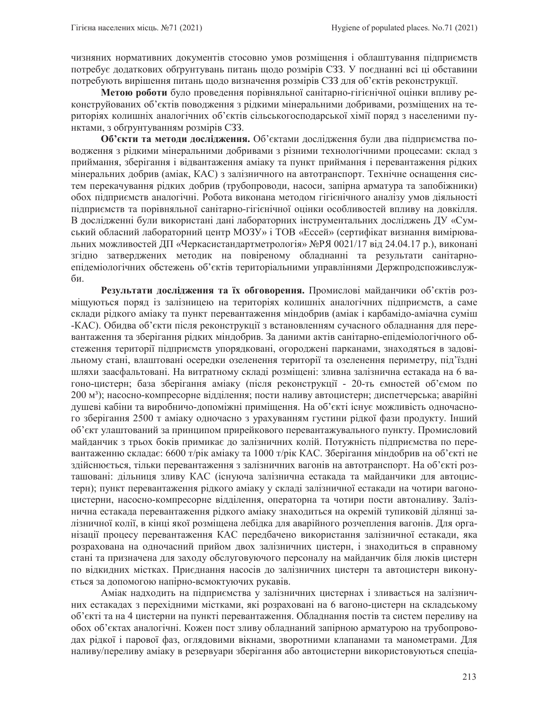чизняних нормативних документів стосовно умов розміщення і облаштування підприємств потребує додаткових обгрунтувань питань щодо розмірів СЗЗ. У поєднанні всі ці обставини потребують вирішення питань щодо визначення розмірів СЗЗ для об'єктів реконструкції.

Метою роботи було проведення порівняльної санітарно-гігієнічної оцінки впливу реконструйованих об'єктів поводження з рідкими мінеральними добривами, розміщених на територіях колишніх аналогічних об'єктів сільськогосподарської хімії поряд з населеними пунктами, з обгрунтуванням розмірів СЗЗ.

Об'єкти та методи дослідження. Об'єктами дослідження були два підприємства поводження з рідкими мінеральними добривами з різними технологічними процесами: склад з приймання, зберігання і відвантаження аміаку та пункт приймання і перевантаження рідких мінеральних добрив (аміак, КАС) з залізничного на автотранспорт. Технічне оснащення систем перекачування рідких добрив (трубопроводи, насоси, запірна арматура та запобіжники) обох підприємств аналогічні. Робота виконана методом гігієнічного аналізу умов діяльності підприємств та порівняльної санітарно-гігієнічної оцінки особливостей впливу на довкілля. В дослідженні були використані дані лабораторних інструментальних досліджень ДУ «Сумський обласний лабораторний центр МОЗУ» і ТОВ «Ессей» (сертифікат визнання вимірювальних можливостей ДП «Черкасистандартметрологія» №РЯ 0021/17 від 24.04.17 р.), виконані згідно затверджених методик на повіреному обладнанні та результати санітарноепідеміологічних обстежень об'єктів територіальними управліннями Держпродспоживслужби.

Результати дослідження та їх обговорення. Промислові майданчики об'єктів розміщуються поряд із залізницею на територіях колишніх аналогічних підприємств, а саме склади рідкого аміаку та пункт перевантаження міндобрив (аміак і карбамідо-аміачна суміш -КАС). Обидва об'єкти після реконструкції з встановленням сучасного обладнання для перевантаження та зберігання рідких міндобрив. За даними актів санітарно-епідеміологічного обстеження території підприємств упорядковані, огороджені парканами, знаходяться в задовільному стані, влаштовані осередки озеленення території та озеленення периметру, під'їздні шляхи заасфальтовані. На витратному складі розміщені: зливна залізнична естакада на 6 вагоно-цистерн; база зберігання аміаку (після реконструкції - 20-ть ємностей об'ємом по 200 м<sup>3</sup>); насосно-компресорне відділення; пости наливу автоцистерн; диспетчерська; аварійні душеві кабіни та виробничо-допоміжні приміщення. На об'єкті існує можливість одночасного зберігання 2500 т аміаку одночасно з урахуванням густини рідкої фази продукту. Інший об'єкт улаштований за принципом прирейкового перевантажувального пункту. Промисловий майданчик з трьох боків примикає до залізничних колій. Потужність підприємства по перевантаженню складає: 6600 т/рік аміаку та 1000 т/рік КАС. Зберігання міндобрив на об'єкті не здійснюється, тільки перевантаження з залізничних вагонів на автотранспорт. На об'єкті розташовані: дільниця зливу КАС (існуюча залізнична естакада та майданчики для автоцистерн); пункт перевантаження рідкого аміаку у складі залізничної естакади на чотири вагоноцистерни, насосно-компресорне відділення, операторна та чотири пости автоналиву. Залізнична естакада перевантаження рідкого аміаку знаходиться на окремій тупиковій ділянці залізничної колії, в кінці якої розміщена лебідка для аварійного розчеплення вагонів. Для організації процесу перевантаження КАС передбачено використання залізничної естакади, яка розрахована на одночасний прийом двох залізничних цистерн, і знаходиться в справному стані та призначена для заходу обслуговуючого персоналу на майданчик біля люків цистерн по відкидних містках. Приєднання насосів до залізничних цистерн та автоцистерн виконується за допомогою напірно-всмоктуючих рукавів.

Аміак надходить на підприємства у залізничних цистернах і зливається на залізничних естакадах з перехідними містками, які розраховані на 6 вагоно-цистерн на складському об'єкті та на 4 цистерни на пункті перевантаження. Обладнання постів та систем переливу на обох об'єктах аналогічні. Кожен пост зливу обладнаний запірною арматурою на трубопроводах рідкої і парової фаз, оглядовими вікнами, зворотними клапанами та манометрами. Для наливу/переливу аміаку в резервуари зберігання або автоцистерни використовуються спеціа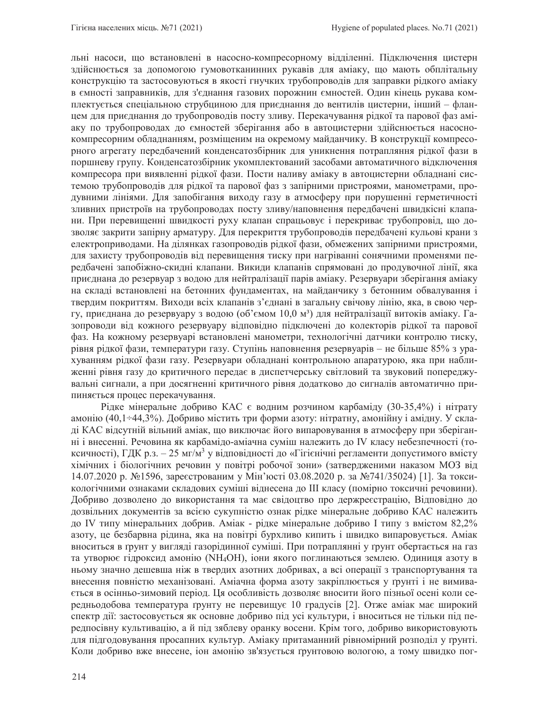льні насоси, що встановлені в насосно-компресорному відділенні. Підключення цистерн здійснюється за допомогою гумовотканинних рукавів для аміаку, що мають обплітальну конструкцію та застосовуються в якості гнучких трубопроводів для заправки рідкого аміаку в ємності заправників, для з'єднання газових порожнин ємностей. Один кінець рукава комплектується спеціальною струбциною для приєднання до вентилів цистерни, інший - фланцем для приєднання до трубопроводів посту зливу. Перекачування рідкої та парової фаз аміаку по трубопроводах до ємностей зберігання або в автоцистерни здійснюється насоснокомпресорним обладнанням, розміщеним на окремому майданчику. В конструкції компресорного агрегату передбачений конденсатозбірник для уникнення потрапляння рідкої фази в поршневу групу. Конденсатозбірник укомплектований засобами автоматичного відключення компресора при виявленні рідкої фази. Пости наливу аміаку в автоцистерни обладнані системою трубопроводів для рідкої та парової фаз з запірними пристроями, манометрами, продувними лініями. Для запобігання виходу газу в атмосферу при порушенні герметичності зливних пристроїв на трубопроводах посту зливу/наповнення передбачені швидкісні клапани. При перевищенні швидкості руху клапан спрацьовує і перекриває трубопровід, що дозволяє закрити запірну арматуру. Для перекриття трубопроводів передбачені кульові крани з електроприводами. На ділянках газопроводів рідкої фази, обмежених запірними пристроями, для захисту трубопроводів від перевищення тиску при нагріванні сонячними променями передбачені запобіжно-скидні клапани. Викиди клапанів спрямовані до продувочної лінії, яка приєднана до резервуар з водою для нейтралізації парів аміаку. Резервуари зберігання аміаку на складі встановлені на бетонних фундаментах, на майданчику з бетонним обвалування і твердим покриттям. Виходи всіх клапанів з'єднані в загальну свічову лінію, яка, в свою чергу, приєднана до резервуару з водою (об'ємом 10,0 м<sup>3</sup>) для нейтралізації витоків аміаку. Газопроводи від кожного резервуару відповідно підключені до колекторів рідкої та парової фаз. На кожному резервуарі встановлені манометри, технологічні датчики контролю тиску, рівня рідкої фази, температури газу. Ступінь наповнення резервуарів – не більше 85% з урахуванням рідкої фази газу. Резервуари обладнані контрольною апаратурою, яка при наближенні рівня газу до критичного передає в диспетчерську світловий та звуковий попереджувальні сигнали, а при досягненні критичного рівня додатково до сигналів автоматично припиняється процес перекачування.

Рідке мінеральне добриво КАС є водним розчином карбаміду (30-35,4%) і нітрату амонію (40,1÷44,3%). Добриво містить три форми азоту: нітратну, амонійну і амідну. У складі КАС відсутній вільний аміак, що виключає його випаровування в атмосферу при зберіганні і внесенні. Речовина як карбамідо-аміачна суміш належить до IV класу небезпечності (токсичності), ГДК р.з. – 25 мг/м<sup>3</sup> у відповідності до «Гігієнічні регламенти допустимого вмісту хімічних і біологічних речовин у повітрі робочої зони» (затвердженими наказом МОЗ від 14.07.2020 р. №1596, зареєстрованим у Мін'юсті 03.08.2020 р. за №741/35024) [1]. За токсикологічними ознаками складових суміші віднесена до III класу (помірно токсичні речовини). Добриво дозволено до використання та має свідоцтво про держреєстрацію, Відповідно до дозвільних документів за всією сукупністю ознак рідке мінеральне добриво КАС належить до IV типу мінеральних добрив. Аміак - рідке мінеральне добриво I типу з вмістом 82,2% азоту, це безбарвна рідина, яка на повітрі бурхливо кипить і швидко випаровується. Аміак вноситься в ґрунт у вигляді газорідинної суміші. При потраплянні у ґрунт обертається на газ та утворює гідроксид амонію (NH<sub>4</sub>OH), іони якого поглинаються землею. Одиниця азоту в ньому значно дешевша ніж в твердих азотних добривах, а всі операції з транспортування та внесення повністю механізовані. Аміачна форма азоту закріплюється у ґрунті і не вимивається в осінньо-зимовий період. Ця особливість дозволяє вносити його пізньої осені коли середньодобова температура грунту не перевищує 10 градусів [2]. Отже аміак має широкий спектр дії: застосовується як основне добриво під усі культури, і вноситься не тільки під передпосівну культивацію, а й під зяблеву оранку восени. Крім того, добриво використовують для підгодовування просапних культур. Аміаку притаманний рівномірний розподіл у грунті. Коли добриво вже внесене, іон амонію зв'язується ґрунтовою вологою, а тому швидко пог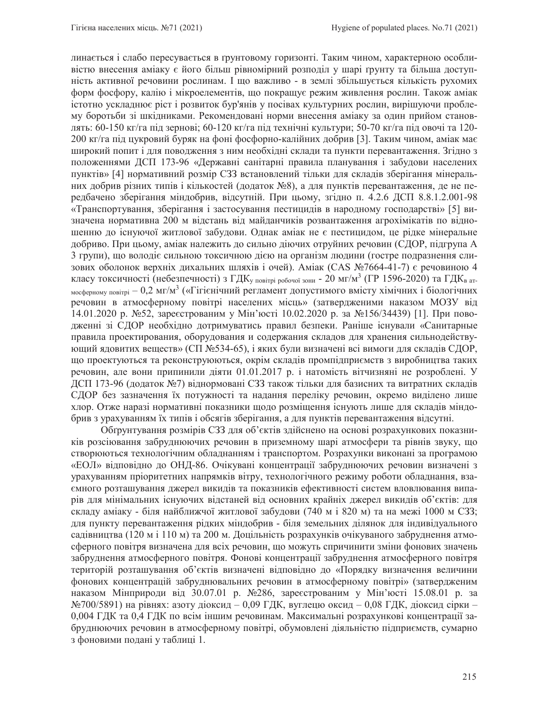линається і слабо пересувається в грунтовому горизонті. Таким чином, характерною особливістю внесення аміаку є його більш рівномірний розподіл у шарі ґрунту та більша доступність активної речовини рослинам. І що важливо - в землі збільшується кількість рухомих форм фосфору, калію і мікроелементів, що покращує режим живлення рослин. Також аміак істотно ускладнює ріст і розвиток бур'янів у посівах культурних рослин, вирішуючи проблему боротьби зі шкідниками. Рекомендовані норми внесення аміаку за один прийом становлять: 60-150 кг/га під зернові; 60-120 кг/га під технічні культури; 50-70 кг/га під овочі та 120-200 кг/га під цукровий буряк на фоні фосфорно-калійних добрив [3]. Таким чином, аміак має широкий попит і для поводження з ним необхідні склади та пункти перевантаження. Згідно з положеннями ДСП 173-96 «Державні санітарні правила планування і забудови населених пунктів» [4] нормативний розмір СЗЗ встановлений тільки для складів зберігання мінеральних добрив різних типів і кількостей (додаток №8), а для пунктів перевантаження, де не передбачено зберігання міндобрив, відсутній. При цьому, згідно п. 4.2.6 ДСП 8.8.1.2.001-98 «Транспортування, зберігання і застосування пестицидів в народному господарстві» [5] визначена нормативна 200 м відстань від майданчиків розвантаження агрохімікатів по відношенню до існуючої житлової забудови. Однак аміак не є пестицидом, це рідке мінеральне добриво. При цьому, аміак належить до сильно діючих отруйних речовин (СДОР, підгрупа А 3 групи), що володіє сильною токсичною дією на організм людини (гостре подразнення слизових оболонок верхніх дихальних шляхів і очей). Аміак (CAS №7664-41-7) є речовиною 4 класу токсичності (небезпечності) з ГДК<sub>у повітрі робочої зони</sub> - 20 мг/м<sup>3</sup> (ГР 1596-2020) та ГДК<sub>в ат-</sub> мосферному повітрі – 0,2 мг/м<sup>3</sup> («Гігієнічний регламент допустимого вмісту хімічних і біологічних речовин в атмосферному повітрі населених місць» (затвердженими наказом МОЗУ від  $14.01.2020$  р. №52, зареєстрованим у Мін'юсті 10.02.2020 р. за №156/34439) [1]. При поводженні зі СДОР необхідно дотримуватись правил безпеки. Раніше існували «Санитарные правила проектирования, оборудования и содержания складов для хранения сильнодействующий ядовитих веществ» (СП №534-65), і яких були визначені всі вимоги для складів СДОР, що проектуються та реконструюються, окрім складів промпідприємств з виробництва таких речовин, але вони припинили діяти 01.01.2017 р. і натомість вітчизняні не розроблені. У ДСП 173-96 (додаток №7) віднормовані СЗЗ також тільки для базисних та витратних складів СДОР без зазначення їх потужності та надання переліку речовин, окремо виділено лише хлор. Отже наразі нормативні показники щодо розміщення існують лише для складів міндобрив з урахуванням їх типів і обсягів зберігання, а для пунктів перевантаження відсутні.

Обгрунтування розмірів СЗЗ для об'єктів здійснено на основі розрахункових показників розсіювання забруднюючих речовин в приземному шарі атмосфери та рівнів звуку, що створюються технологічним обладнанням і транспортом. Розрахунки виконані за програмою «ЕОЛ» відповідно до ОНД-86. Очікувані концентрації забруднюючих речовин визначені з урахуванням пріоритетних напрямків вітру, технологічного режиму роботи обладнання, взаємного розташування джерел викидів та показників ефективності систем вловлювання випарів для мінімальних існуючих відстаней від основних крайніх джерел викидів об'єктів: для складу аміаку - біля найближчої житлової забудови (740 м і 820 м) та на межі 1000 м СЗЗ; для пункту перевантаження рідких міндобрив - біля земельних ділянок для індивідуального садівництва (120 м і 110 м) та 200 м. Доцільність розрахунків очікуваного забруднення атмосферного повітря визначена для всіх речовин, що можуть спричинити зміни фонових значень забруднення атмосферного повітря. Фонові концентрації забруднення атмосферного повітря територій розташування об'єктів визначені відповідно до «Порядку визначення величини фонових концентрацій забруднювальних речовин в атмосферному повітрі» (затвердженим наказом Мінприроди від 30.07.01 р. №286, зареєстрованим у Мін'юсті 15.08.01 р. за №700/5891) на рівнях: азоту діоксид – 0,09 ГДК, вуглецю оксид – 0,08 ГДК, діоксид сірки – 0,004 ГДК та 0,4 ГДК по всім іншим речовинам. Максимальні розрахункові концентрації забруднюючих речовин в атмосферному повітрі, обумовлені діяльністю підприємств, сумарно з фоновими подані у таблиці 1.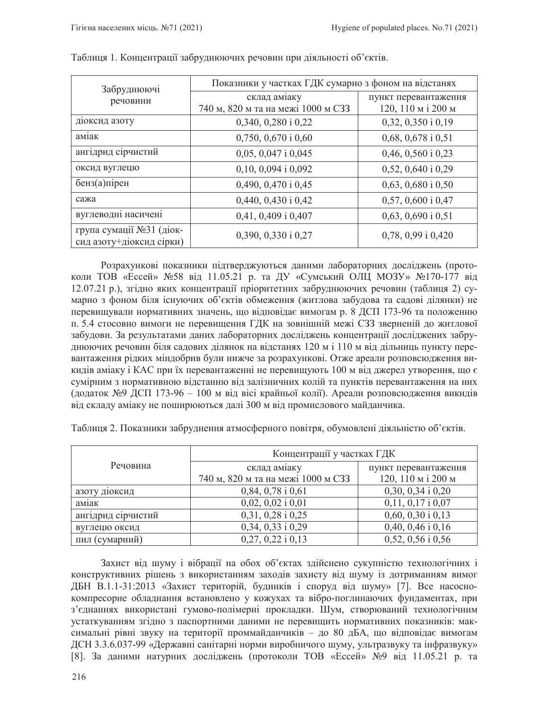| Забруднюючі<br>речовини                              | Показники у частках ГДК сумарно з фоном на відстанях |                        |  |
|------------------------------------------------------|------------------------------------------------------|------------------------|--|
|                                                      | склад аміаку                                         | пункт перевантаження   |  |
|                                                      | 740 м, 820 м та на межі 1000 м СЗЗ                   | 120, 110 м і 200 м     |  |
| дюксид азоту                                         | 0,340, 0,280 i 0,22                                  | $0,32,0,350$ i $0,19$  |  |
| аміак                                                | $0,750, 0,670$ i $0,60$                              | $0,68, 0,678$ i $0,51$ |  |
| ангідрид сірчистий                                   | $0,05, 0,047$ i $0,045$                              | $0,46, 0,560$ i $0,23$ |  |
| оксид вуглецю                                        | $0,10, 0,094$ i $0,092$                              | $0,52, 0,640$ i $0,29$ |  |
| бенз(а)пірен                                         | 0,490, 0,470 i 0,45                                  | $0,63, 0,680$ i $0,50$ |  |
| сажа                                                 | 0,440, 0,430 i 0,42                                  | 0,57, 0,600 i 0,47     |  |
| вуглеводні насичені                                  | 0,41, 0,409 i 0,407                                  | $0,63, 0,690$ i $0,51$ |  |
| група сумації №31 (діок-<br>сид азоту+діоксид сірки) | 0,390, 0,330 i 0,27                                  | $0,78,0,99$ i $0,420$  |  |

Таблиця 1. Концентрації забруднюючих речовин при діяльності об'єктів.

Розрахункові показники підтверджуються даними лабораторних досліджень (протоколи ТОВ «Ессей» №58 від 11.05.21 р. та ДУ «Сумський ОЛЦ МОЗУ» №170-177 від 12.07.21 р.), згідно яких концентрації пріоритетних забруднюючих речовин (таблиця 2) сумарно з фоном біля існуючих об'єктів обмеження (житлова забудова та садові ділянки) не перевищували нормативних значень, що відповідає вимогам р. 8 ДСП 173-96 та положенню п. 5.4 стосовно вимоги не перевищення ГДК на зовнішній межі СЗЗ зверненій до житлової забудови. За результатами даних лабораторних досліджень концентрації досліджених забруднюючих речовин біля садових ділянок на відстанях 120 м і 110 м від дільниць пункту перевантаження рідких міндобрив були нижче за розрахункові. Отже ареали розповсюдження викидів аміаку і КАС при їх перевантаженні не перевищують 100 м від джерел утворення, що є сумірним з нормативною відстанню від залізничних колій та пунктів перевантаження на них (додаток №9 ДСП 173-96 – 100 м від вісі крайньої колії). Ареали розповсюдження викидів від складу аміаку не поширюються далі 300 м від промислового майданчика.

|                    | Концентрації у частках ГДК         |                       |
|--------------------|------------------------------------|-----------------------|
| Речовина           | склад аміаку                       | пункт перевантаження  |
|                    | 740 м, 820 м та на межі 1000 м СЗЗ | 120, 110 м і 200 м    |
| азоту діоксид      | $0,84,0,78$ i $0,61$               | $0,30, 0,34$ i $0,20$ |
| аміак              | $0,02,0,02$ i $0,01$               | $0,11, 0,17$ i $0,07$ |
| ангідрид сірчистий | $0,31,0,28$ i $0,25$               | $0,60, 0,30$ i $0,13$ |
| вуглецю оксид      | $0,34,0,33$ i $0,29$               | $0,40, 0,46$ i $0,16$ |
| пил (сумарний)     | $0,27,0,22$ i $0,13$               | $0,52, 0,56$ i $0,56$ |

Таблиця 2. Показники забруднення атмосферного повітря, обумовлені діяльністю об'єктів.

Захист від шуму і вібрації на обох об'єктах здійснено сукупністю технологічних і конструктивних рішень з використанням заходів захисту від шуму із дотриманням вимог ДБН В.1.1-31:2013 «Захист територій, будинків і споруд від шуму» [7]. Все насоснокомпресорне обладнання встановлено у кожухах та вібро-поглинаючих фундаментах, при з'єднаннях використані гумово-полімерні прокладки. Шум, створюваний технологічним устаткуванням згідно з паспортними даними не перевищить нормативних показників: максимальні рівні звуку на території проммайданчиків – до 80 дБА, що відповідає вимогам ДСН 3.3.6.037-99 «Державні санітарні норми виробничого шуму, ультразвуку та інфразвуку» [8]. За даними натурних досліджень (протоколи ТОВ «Ессей» №9 від 11.05.21 р. та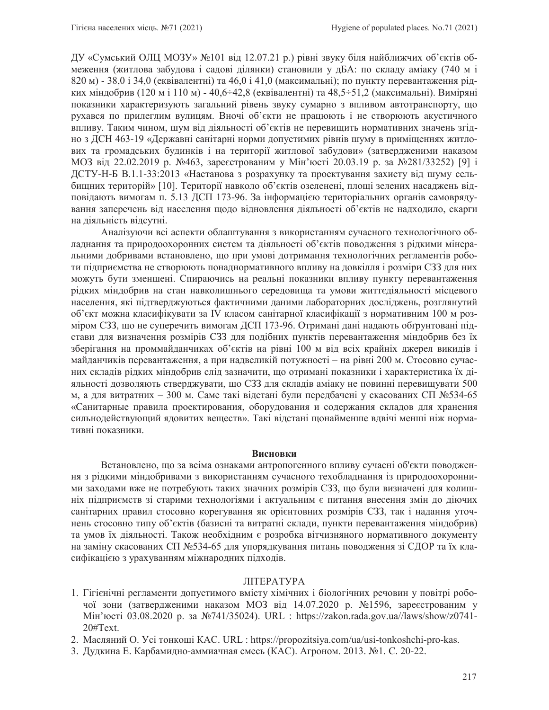ДУ «Сумський ОЛЦ МОЗУ» №101 від 12.07.21 р.) рівні звуку біля найближчих об'єктів обмеження (житлова забудова і садові ділянки) становили у дБА: по складу аміаку (740 м і 820 м) - 38,0 і 34,0 (еквівалентні) та 46,0 і 41,0 (максимальні); по пункту перевантаження рідких міндобрив (120 м і 110 м) - 40,6÷42,8 (еквівалентні) та 48,5÷51,2 (максимальні). Виміряні показники характеризують загальний рівень звуку сумарно з впливом автотранспорту, що рухався по прилеглим вулицям. Вночі об'єкти не працюють і не створюють акустичного впливу. Таким чином, шум від діяльності об'єктів не перевищить нормативних значень згідно з ДСН 463-19 «Державні санітарні норми допустимих рівнів шуму в приміщеннях житлових та громадських будинків і на території житлової забудови» (затвердженими наказом МОЗ від 22.02.2019 р. №463, зареєстрованим у Мін'юсті 20.03.19 р. за №281/33252) [9] і ДСТУ-Н-Б В.1.1-33:2013 «Настанова з розрахунку та проектування захисту від шуму сельбищних територій» [10]. Території навколо об'єктів озеленені, площі зелених насаджень відповідають вимогам п. 5.13 ДСП 173-96. За інформацією територіальних органів самоврядування заперечень від населення щодо відновлення діяльності об'єктів не надходило, скарги на діяльність відсутні.

Аналізуючи всі аспекти облаштування з використанням сучасного технологічного обладнання та природоохоронних систем та діяльності об'єктів поводження з рідкими мінеральними добривами встановлено, що при умові дотримання технологічних регламентів роботи підприємства не створюють понаднормативного впливу на довкілля і розміри СЗЗ для них можуть бути зменшені. Спираючись на реальні показники впливу пункту перевантаження рідких міндобрив на стан навколишнього середовища та умови життєдіяльності місцевого населення, які підтверджуються фактичними даними лабораторних досліджень, розглянутий об'єкт можна класифікувати за IV класом санітарної класифікації з нормативним 100 м розміром СЗЗ, що не суперечить вимогам ДСП 173-96. Отримані дані надають обгрунтовані підстави для визначення розмірів СЗЗ для подібних пунктів перевантаження міндобрив без їх зберігання на проммайданчиках об'єктів на рівні 100 м від всіх крайніх джерел викидів і майданчиків перевантаження, а при надвеликій потужності – на рівні 200 м. Стосовно сучасних складів рідких міндобрив слід зазначити, що отримані показники і характеристика їх діяльності дозволяють стверджувати, що СЗЗ для складів аміаку не повинні перевищувати 500 м, а для витратних – 300 м. Саме такі відстані були передбачені у скасованих СП №534-65 «Санитарные правила проектирования, оборудования и содержания складов для хранения сильнодействующий ядовитих веществ». Такі відстані щонайменше вдвічі менші ніж нормативні показники.

#### **Висновки**

Встановлено, що за всіма ознаками антропогенного впливу сучасні об'єкти поводження з рідкими міндобривами з використанням сучасного техобладнання із природоохоронними заходами вже не потребують таких значних розмірів СЗЗ, що були визначені для колишніх підприємств зі старими технологіями і актуальним є питання внесення змін до діючих санітарних правил стосовно корегування як орієнтовних розмірів СЗЗ, так і надання уточнень стосовно типу об'єктів (базисні та витратні склади, пункти перевантаження міндобрив) та умов їх діяльності. Також необхідним є розробка вітчизняного нормативного документу на заміну скасованих СП №534-65 для упорядкування питань поводження зі СДОР та їх класифікацією з урахуванням міжнародних підходів.

#### ЛІТЕРАТУРА

- 1. Гігієнічні регламенти допустимого вмісту хімічних і біологічних речовин у повітрі робочої зони (затвердженими наказом МОЗ від 14.07.2020 р. №1596, зареєстрованим у Мін'юсті 03.08.2020 р. за №741/35024). URL : https://zakon.rada.gov.ua//laws/show/z0741-20#Text.
- 2. Масляний О. Усі тонкощі KAC. URL : https://propozitsiya.com/ua/usi-tonkoshchi-pro-kas.
- 3. Дудкина Е. Карбамидно-аммиачная смесь (КАС). Агроном. 2013. №1. С. 20-22.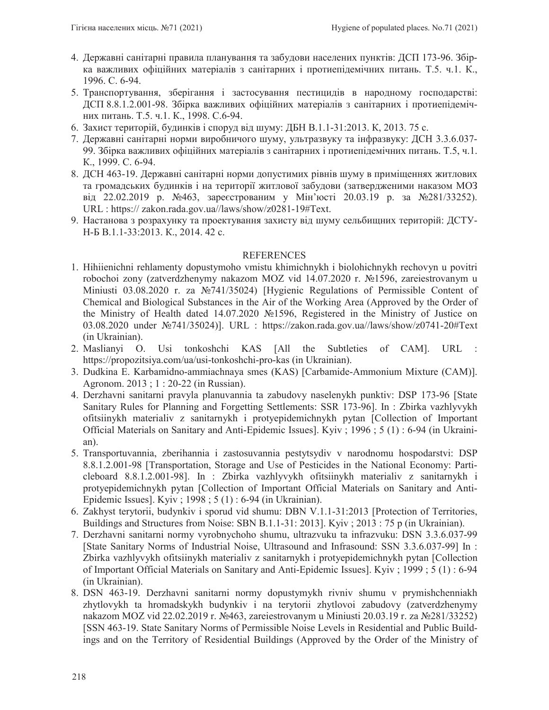- 4. Державні санітарні правила планування та забудови населених пунктів: ДСП 173-96. Збірка важливих офіційних матеріалів з санітарних і протиепідемічних питань. Т.5. ч.1. К., 1996. C. 6-94.
- 5. Транспортування, зберігання і застосування пестицидів в народному господарстві: ДСП 8.8.1.2.001-98. Збірка важливих офіційних матеріалів з санітарних і протиепідемічних питань. Т.5. ч.1. К., 1998. С.6-94.
- 6. Захист територій, будинків і споруд від шуму: ДБН В.1.1-31:2013. К, 2013. 75 с.
- 7. Державні санітарні норми виробничого шуму, ультразвуку та інфразвуку: ДСН 3.3.6.037-99. Збірка важливих офіційних матеріалів з санітарних і протиепідемічних питань. Т.5, ч.1. K., 1999. C. 6-94.
- 8. ДСН 463-19. Державні санітарні норми допустимих рівнів шуму в приміщеннях житлових та громадських будинків і на території житлової забудови (затвердженими наказом МОЗ від 22.02.2019 р. №463, зареєстрованим у Мін'юсті 20.03.19 р. за №281/33252). URL : https:// zakon.rada.gov.ua//laws/show/z0281-19#Text.
- 9. Настанова з розрахунку та проектування захисту від шуму сельбищних територій: ДСТУ-H-E B.1.1-33:2013. K., 2014. 42 c.

### REFERENCES

- 1. Hihiienichni rehlamenty dopustymoho vmistu khimichnykh i biolohichnykh rechovyn u povitri robochoi zony (zatverdzhenymy nakazom MOZ vid 14.07.2020 r. No1596, zareiestrovanym u Miniusti 03.08.2020 r. za  $\mathbb{N}$ 9741/35024) [Hygienic Regulations of Permissible Content of Chemical and Biological Substances in the Air of the Working Area (Approved by the Order of the Ministry of Health dated 14.07.2020  $\mathcal{N}$  1596, Registered in the Ministry of Justice on 03.08.2020 under Nº741/35024)]. URL : https://zakon.rada.gov.ua//laws/show/z0741-20#Text (in Ukrainian).
- 2. Maslianyi O. Usi tonkoshchi KAS [All the Subtleties of CAM]. URL : https://propozitsiya.com/ua/usi-tonkoshchi-pro-kas (in Ukrainian).
- 3. Dudkina E. Karbamidno-ammiachnaya smes (KAS) [Carbamide-Ammonium Mixture (CAM)]. Agronom. 2013 ; 1 : 20-22 (in Russian).
- 4. Derzhavni sanitarni pravyla planuvannia ta zabudovy naselenykh punktiv: DSP 173-96 [State Sanitary Rules for Planning and Forgetting Settlements: SSR 173-96]. In : Zbirka vazhlyvykh ofitsiinykh materialiv z sanitarnykh i protyepidemichnykh pytan [Collection of Important Official Materials on Sanitary and Anti-Epidemic Issues]. Kyiv ; 1996 ; 5 (1) : 6-94 (in Ukrainian).
- 5. Transportuvannia, zberihannia i zastosuvannia pestytsydiv v narodnomu hospodarstvi: DSP 8.8.1.2.001-98 [Transportation, Storage and Use of Pesticides in the National Economy: Particleboard 8.8.1.2.001-98]. In : Zbirka vazhlyvykh ofitsiinykh materialiv z sanitarnykh i protyepidemichnykh pytan [Collection of Important Official Materials on Sanitary and Anti-Epidemic Issues]. Kyiv ; 1998 ; 5 (1) : 6-94 (in Ukrainian).
- 6. Zakhyst terytorii, budynkiv i sporud vid shumu: DBN V.1.1-31:2013 [Protection of Territories, Buildings and Structures from Noise: SBN B.1.1-31: 2013]. Kyiv ; 2013 : 75 p (in Ukrainian).
- 7. Derzhavni sanitarni normy vyrobnychoho shumu, ultrazvuku ta infrazvuku: DSN 3.3.6.037-99 [State Sanitary Norms of Industrial Noise, Ultrasound and Infrasound: SSN 3.3.6.037-99] In : Zbirka vazhlyvykh ofitsiinykh materialiv z sanitarnykh i protyepidemichnykh pytan [Collection of Important Official Materials on Sanitary and Anti-Epidemic Issues]. Kyiv ; 1999 ; 5 (1) : 6-94 (in Ukrainian).
- 8. DSN 463-19. Derzhavni sanitarni normy dopustymykh rivniv shumu v prymishchenniakh zhytlovykh ta hromadskykh budynkiv i na terytorii zhytlovoi zabudovy (zatverdzhenymy nakazom MOZ vid 22.02.2019 r. №463, zareiestrovanym u Miniusti 20.03.19 r. za №281/33252) [SSN 463-19. State Sanitary Norms of Permissible Noise Levels in Residential and Public Buildings and on the Territory of Residential Buildings (Approved by the Order of the Ministry of